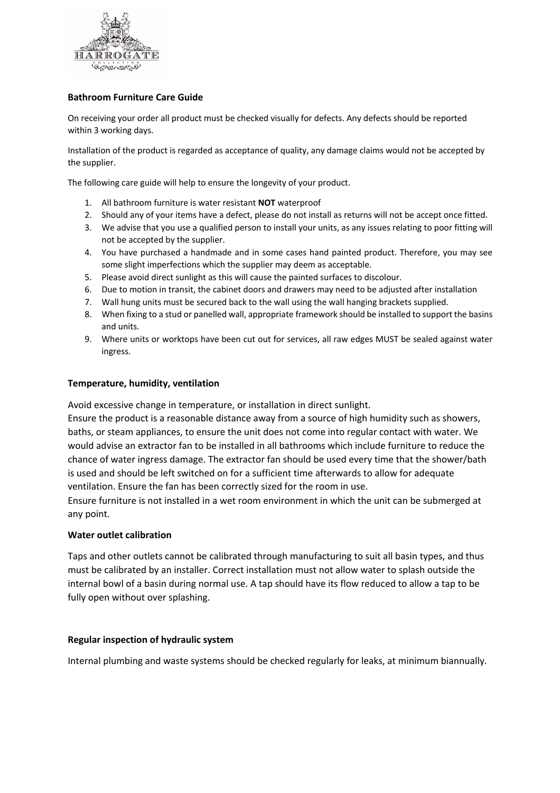

# **Bathroom Furniture Care Guide**

On receiving your order all product must be checked visually for defects. Any defects should be reported within 3 working days.

Installation of the product is regarded as acceptance of quality, any damage claims would not be accepted by the supplier.

The following care guide will help to ensure the longevity of your product.

- 1. All bathroom furniture is water resistant **NOT** waterproof
- 2. Should any of your items have a defect, please do not install as returns will not be accept once fitted.
- 3. We advise that you use a qualified person to install your units, as any issues relating to poor fitting will not be accepted by the supplier.
- 4. You have purchased a handmade and in some cases hand painted product. Therefore, you may see some slight imperfections which the supplier may deem as acceptable.
- 5. Please avoid direct sunlight as this will cause the painted surfaces to discolour.
- 6. Due to motion in transit, the cabinet doors and drawers may need to be adjusted after installation
- 7. Wall hung units must be secured back to the wall using the wall hanging brackets supplied.
- 8. When fixing to a stud or panelled wall, appropriate framework should be installed to support the basins and units.
- 9. Where units or worktops have been cut out for services, all raw edges MUST be sealed against water ingress.

#### **Temperature, humidity, ventilation**

Avoid excessive change in temperature, or installation in direct sunlight.

Ensure the product is a reasonable distance away from a source of high humidity such as showers, baths, or steam appliances, to ensure the unit does not come into regular contact with water. We would advise an extractor fan to be installed in all bathrooms which include furniture to reduce the chance of water ingress damage. The extractor fan should be used every time that the shower/bath is used and should be left switched on for a sufficient time afterwards to allow for adequate ventilation. Ensure the fan has been correctly sized for the room in use.

Ensure furniture is not installed in a wet room environment in which the unit can be submerged at any point.

#### **Water outlet calibration**

Taps and other outlets cannot be calibrated through manufacturing to suit all basin types, and thus must be calibrated by an installer. Correct installation must not allow water to splash outside the internal bowl of a basin during normal use. A tap should have its flow reduced to allow a tap to be fully open without over splashing.

#### **Regular inspection of hydraulic system**

Internal plumbing and waste systems should be checked regularly for leaks, at minimum biannually.